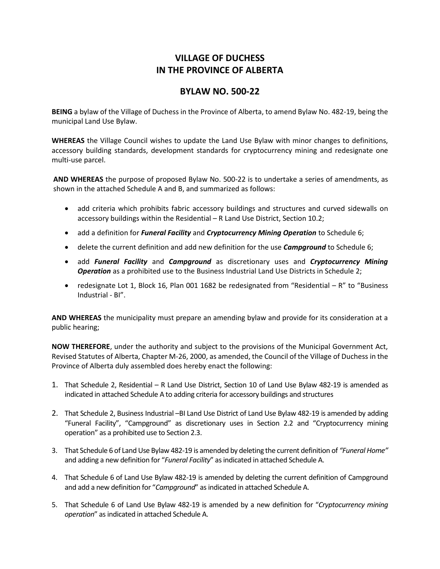# **VILLAGE OF DUCHESS IN THE PROVINCE OF ALBERTA**

### **BYLAW NO. 500-22**

**BEING** a bylaw of the Village of Duchess in the Province of Alberta, to amend Bylaw No. 482-19, being the municipal Land Use Bylaw.

**WHEREAS** the Village Council wishes to update the Land Use Bylaw with minor changes to definitions, accessory building standards, development standards for cryptocurrency mining and redesignate one multi-use parcel.

**AND WHEREAS** the purpose of proposed Bylaw No. 500-22 is to undertake a series of amendments, as shown in the attached Schedule A and B, and summarized as follows:

- add criteria which prohibits fabric accessory buildings and structures and curved sidewalls on accessory buildings within the Residential – R Land Use District, Section 10.2;
- add a definition for *Funeral Facility* and *Cryptocurrency Mining Operation* to Schedule 6;
- delete the current definition and add new definition for the use **Campground** to Schedule 6;
- add *Funeral Facility* and *Campground* as discretionary uses and *Cryptocurrency Mining Operation* as a prohibited use to the Business Industrial Land Use Districts in Schedule 2;
- redesignate Lot 1, Block 16, Plan 001 1682 be redesignated from "Residential R" to "Business Industrial - BI".

**AND WHEREAS** the municipality must prepare an amending bylaw and provide for its consideration at a public hearing;

**NOW THEREFORE**, under the authority and subject to the provisions of the Municipal Government Act, Revised Statutes of Alberta, Chapter M-26, 2000, as amended, the Council of the Village of Duchess in the Province of Alberta duly assembled does hereby enact the following:

- 1. That Schedule 2, Residential R Land Use District, Section 10 of Land Use Bylaw 482-19 is amended as indicated in attached Schedule A to adding criteria for accessory buildings and structures
- 2. That Schedule 2, Business Industrial –BI Land Use District of Land Use Bylaw 482-19 is amended by adding "Funeral Facility", "Campground" as discretionary uses in Section 2.2 and "Cryptocurrency mining operation" as a prohibited use to Section 2.3.
- 3. That Schedule 6 of Land Use Bylaw 482-19 is amended by deleting the current definition of *"Funeral Home"* and adding a new definition for "*Funeral Facility*" as indicated in attached Schedule A.
- 4. That Schedule 6 of Land Use Bylaw 482-19 is amended by deleting the current definition of Campground and add a new definition for "*Campground*" as indicated in attached Schedule A.
- 5. That Schedule 6 of Land Use Bylaw 482-19 is amended by a new definition for "*Cryptocurrency mining operation*" as indicated in attached Schedule A.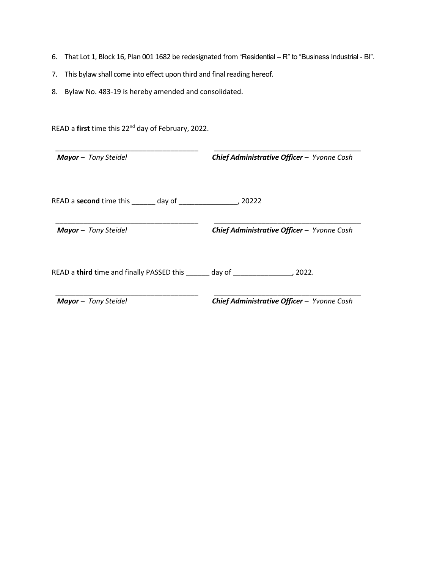- 6. That Lot 1, Block 16, Plan 001 1682 be redesignated from "Residential R" to "Business Industrial BI".
- 7. This bylaw shall come into effect upon third and final reading hereof.
- 8. Bylaw No. 483-19 is hereby amended and consolidated.

| <b>Mayor</b> - Tony Steidel                     | Chief Administrative Officer - Yvonne Cosh                                                                               |
|-------------------------------------------------|--------------------------------------------------------------------------------------------------------------------------|
| READ a <b>second</b> time this day of           | , 20222                                                                                                                  |
| <b>Mayor</b> - Tony Steidel                     | Chief Administrative Officer - Yvonne Cosh                                                                               |
| READ a third time and finally PASSED this _____ | day of the control of the control of the control of the control of the control of the control of the control o<br>.2022. |
| <b>Mayor</b> - Tony Steidel                     | Chief Administrative Officer - Yvonne Cosh                                                                               |

READ a **first** time this 22nd day of February, 2022.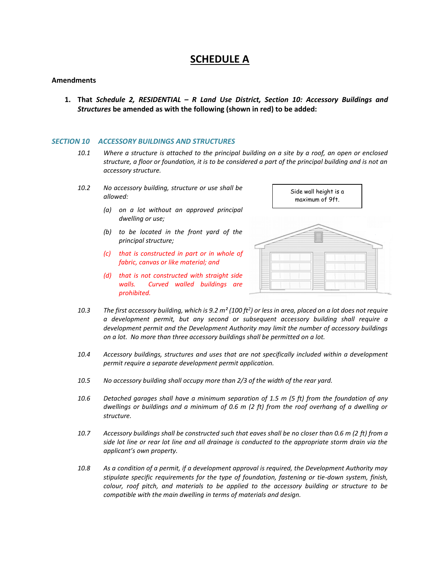## **SCHEDULE A**

### **Amendments**

**1. That** *Schedule 2, RESIDENTIAL – R Land Use District, Section 10: Accessory Buildings and Structures* **be amended as with the following (shown in red) to be added:**

#### *SECTION 10 ACCESSORY BUILDINGS AND STRUCTURES*

- *10.1 Where a structure is attached to the principal building on a site by a roof, an open or enclosed structure, a floor or foundation, it is to be considered a part of the principal building and is not an accessory structure.*
- *10.2 No accessory building, structure or use shall be allowed:*
	- *(a) on a lot without an approved principal dwelling or use;*
	- *(b) to be located in the front yard of the principal structure;*
	- *(c) that is constructed in part or in whole of fabric, canvas or like material; and*
	- *(d) that is not constructed with straight side walls. Curved walled buildings are prohibited.*



- *10.3 The first accessory building, which is 9.2 m² (100 ft<sup>2</sup> ) or less in area, placed on a lot does not require a development permit, but any second or subsequent accessory building shall require a development permit and the Development Authority may limit the number of accessory buildings on a lot. No more than three accessory buildings shall be permitted on a lot.*
- *10.4 Accessory buildings, structures and uses that are not specifically included within a development permit require a separate development permit application.*
- *10.5 No accessory building shall occupy more than 2/3 of the width of the rear yard.*
- *10.6 Detached garages shall have a minimum separation of 1.5 m (5 ft) from the foundation of any dwellings or buildings and a minimum of 0.6 m (2 ft) from the roof overhang of a dwelling or structure.*
- *10.7 Accessory buildings shall be constructed such that eaves shall be no closer than 0.6 m (2 ft) from a side lot line or rear lot line and all drainage is conducted to the appropriate storm drain via the applicant's own property.*
- *10.8 As a condition of a permit, if a development approval is required, the Development Authority may stipulate specific requirements for the type of foundation, fastening or tie-down system, finish, colour, roof pitch, and materials to be applied to the accessory building or structure to be compatible with the main dwelling in terms of materials and design.*